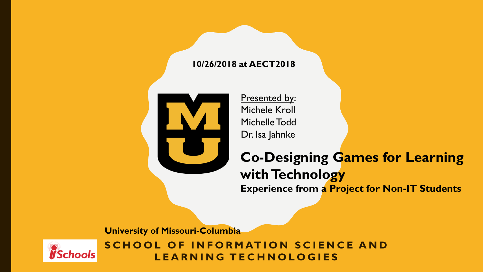#### **10/26/2018 at AECT2018**



Presented by: Michele Kroll Michelle Todd Dr. Isa Jahnke

#### **Co-Designing Games for Learning with Technology Experience from a Project for Non-IT Students**

**University of Missouri-Columbia**



**SCHOOL OF INFORMATION SCIENCE AND L E A R N I N G T E C H N O L O G I E S**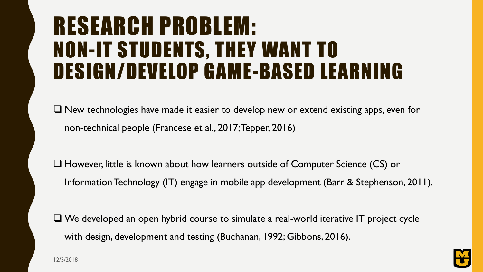### RESEARCH PROBLEM: NON-IT STUDENTS, THEY WANT TO DESIGN/DEVELOP GAME-BASED LEARNING

 $\Box$  New technologies have made it easier to develop new or extend existing apps, even for non-technical people (Francese et al., 2017; Tepper, 2016)

 However, little is known about how learners outside of Computer Science (CS) or Information Technology (IT) engage in mobile app development (Barr & Stephenson, 2011).

 $\Box$  We developed an open hybrid course to simulate a real-world iterative IT project cycle with design, development and testing (Buchanan, 1992; Gibbons, 2016).

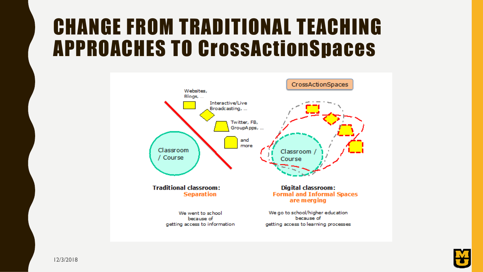#### CHANGE FROM TRADITIONAL TEACHING APPROACHES TO CrossActionSpaces



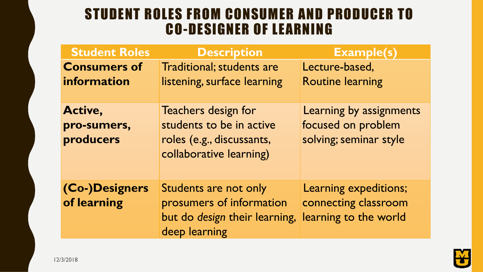#### STUDENT ROLES FROM CONSUMER AND PRODUCER TO CO-DESIGNER OF LEARNING

| <b>Student Roles</b>                | <b>Description</b>                                                                                      | <b>Example(s)</b>                                                       |
|-------------------------------------|---------------------------------------------------------------------------------------------------------|-------------------------------------------------------------------------|
| <b>Consumers of</b>                 | Traditional; students are                                                                               | Lecture-based,                                                          |
| information                         | listening, surface learning                                                                             | <b>Routine learning</b>                                                 |
| Active,<br>pro-sumers,<br>producers | Teachers design for<br>students to be in active<br>roles (e.g., discussants,<br>collaborative learning) | Learning by assignments<br>focused on problem<br>solving; seminar style |
| (Co-)Designers<br>of learning       | Students are not only<br>prosumers of information<br>but do design their learning,<br>deep learning     | Learning expeditions;<br>connecting classroom<br>learning to the world  |

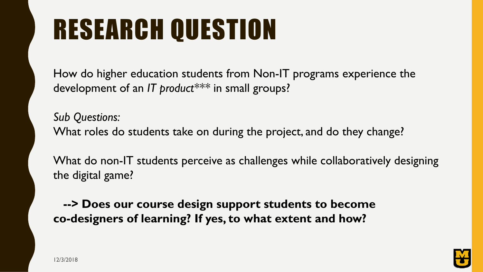# RESEARCH QUESTION

How do higher education students from Non-IT programs experience the development of an *IT product\*\*\** in small groups?

*Sub Questions:* What roles do students take on during the project, and do they change?

What do non-IT students perceive as challenges while collaboratively designing the digital game?

**--> Does our course design support students to become co-designers of learning? If yes, to what extent and how?**

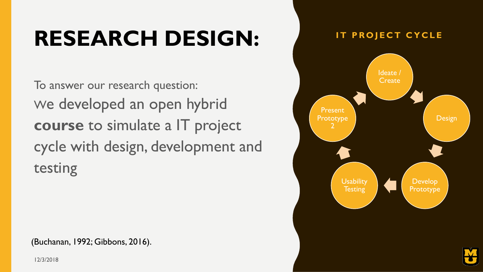### **RESEARCH DESIGN:**

To answer our research question: We developed an open hybrid **course** to simulate a IT project cycle with design, development and testing

(Buchanan, 1992; Gibbons, 2016).



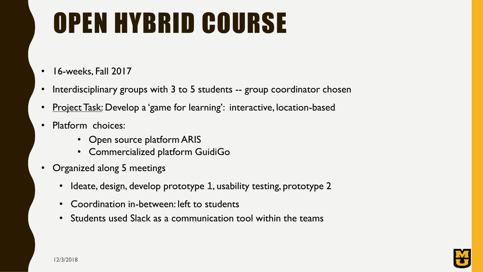# OPEN HYBRID COURSE

- 16-weeks, Fall 2017
- Interdisciplinary groups with 3 to 5 students -- group coordinator chosen
- Project Task: Develop a 'game for learning': interactive, location-based
- Platform choices:
	- Open source platform ARIS
	- Commercialized platform GuidiGo
- Organized along 5 meetings
	- Ideate, design, develop prototype 1, usability testing, prototype 2
	- Coordination in-between: left to students
	- Students used Slack as a communication tool within the teams

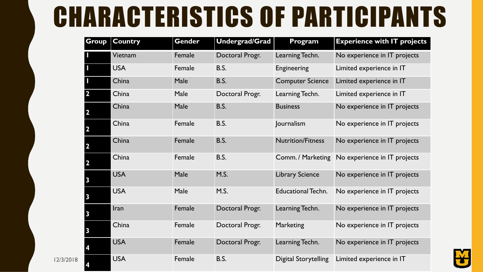## CHARACTERISTICS OF PARTICIPANTS

| Group                   | <b>Country</b> | Gender | <b>Undergrad/Grad</b> | Program                     | <b>Experience with IT projects</b> |
|-------------------------|----------------|--------|-----------------------|-----------------------------|------------------------------------|
|                         | Vietnam        | Female | Doctoral Progr.       | Learning Techn.             | No experience in IT projects       |
|                         | <b>USA</b>     | Female | <b>B.S.</b>           | Engineering                 | Limited experience in IT           |
|                         | China          | Male   | <b>B.S.</b>           | <b>Computer Science</b>     | Limited experience in IT           |
| $\overline{\mathbf{2}}$ | China          | Male   | Doctoral Progr.       | Learning Techn.             | Limited experience in IT           |
|                         | China          | Male   | <b>B.S.</b>           | <b>Business</b>             | No experience in IT projects       |
|                         | China          | Female | <b>B.S.</b>           | Journalism                  | No experience in IT projects       |
|                         | China          | Female | <b>B.S.</b>           | <b>Nutrition/Fitness</b>    | No experience in IT projects       |
|                         | China          | Female | B.S.                  | Comm. / Marketing           | No experience in IT projects       |
|                         | <b>USA</b>     | Male   | M.S.                  | <b>Library Science</b>      | No experience in IT projects       |
|                         | <b>USA</b>     | Male   | M.S.                  | <b>Educational Techn.</b>   | No experience in IT projects       |
|                         | Iran           | Female | Doctoral Progr.       | Learning Techn.             | No experience in IT projects       |
|                         | China          | Female | Doctoral Progr.       | Marketing                   | No experience in IT projects       |
|                         | <b>USA</b>     | Female | Doctoral Progr.       | Learning Techn.             | No experience in IT projects       |
|                         | <b>USA</b>     | Female | <b>B.S.</b>           | <b>Digital Storytelling</b> | Limited experience in IT           |

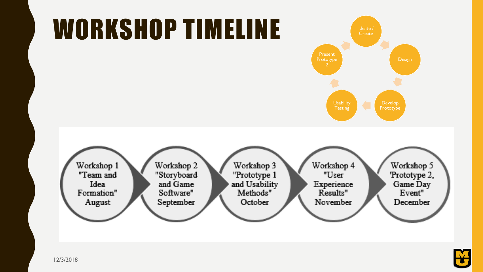

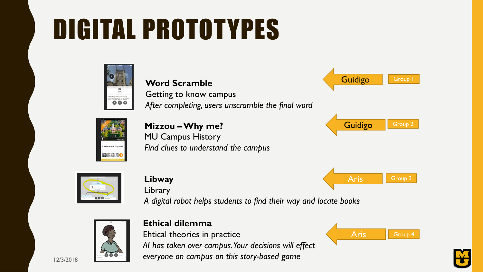# DIGITAL PROTOTYPES



#### **Word Scramble**

Getting to know campus *After completing, users unscramble the final word*



**Mizzou –Why me?** MU Campus History *Find clues to understand the campus*





#### **Libway**

Library

*A digital robot helps students to find their way and locate books*



#### **Ethical dilemma**

Ehtical theories in practice *AI has taken over campus. Your decisions will effect everyone on campus on this story-based game*



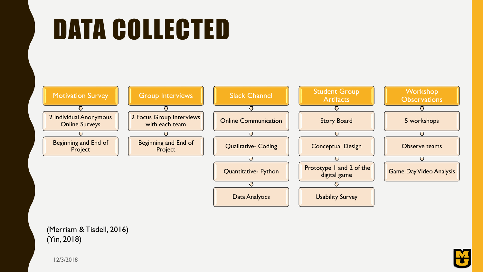## DATA COLLECTED



(Merriam & Tisdell, 2016) (Yin, 2018)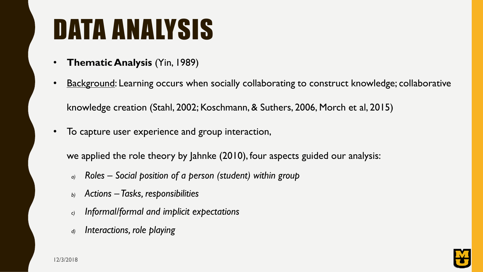## DATA ANALYSIS

- **Thematic Analysis** (Yin, 1989)
- Background: Learning occurs when socially collaborating to construct knowledge; collaborative

knowledge creation (Stahl, 2002; Koschmann, & Suthers, 2006, Morch et al, 2015)

• To capture user experience and group interaction,

we applied the role theory by Jahnke (2010), four aspects guided our analysis:

- *a) Roles – Social position of a person (student) within group*
- *b) Actions – Tasks, responsibilities*
- *c) Informal/formal and implicit expectations*
- *d) Interactions, role playing*

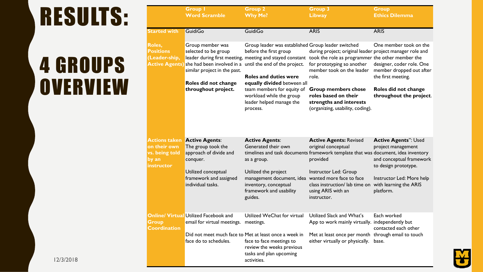## RESULTS:

### 4 GROUPS **OVERVIEW**

|                                                                               | <b>Group I</b><br><b>Word Scramble</b>                                                                   | <b>Group 2</b><br><b>Why Me?</b>                                                                                                                                                                                       | <b>Group 3</b><br><b>Libway</b>                                                                                                                                                                                                           | <b>Group</b><br><b>Ethics Dilemma</b>                                                                 |
|-------------------------------------------------------------------------------|----------------------------------------------------------------------------------------------------------|------------------------------------------------------------------------------------------------------------------------------------------------------------------------------------------------------------------------|-------------------------------------------------------------------------------------------------------------------------------------------------------------------------------------------------------------------------------------------|-------------------------------------------------------------------------------------------------------|
| <b>Started with</b>                                                           | <b>GuidiGo</b>                                                                                           | <b>GuidiGo</b>                                                                                                                                                                                                         | <b>ARIS</b>                                                                                                                                                                                                                               | <b>ARIS</b>                                                                                           |
| Roles,<br><b>Positions</b><br>(Leader-ship,                                   | Group member was<br>selected to be group<br>similar project in the past.<br>Roles did not change         | Group leader was established Group leader switched<br>before the first group<br>Active Agents) she had been involved in a until the end of the project.<br><b>Roles and duties were</b><br>equally divided between all | during project; original leader project manager role and<br>leader during first meeting, meeting and stayed constant took the role as programmer the other member the<br>for prototyping so another<br>member took on the leader<br>role. | One member took on the<br>designer, coder role. One<br>member dropped out after<br>the first meeting. |
|                                                                               | throughout project.                                                                                      | team members for equity of<br>workload while the group<br>leader helped manage the<br>process.                                                                                                                         | <b>Group members chose</b><br>roles based on their<br>strengths and interests<br>(organizing, usability, coding).                                                                                                                         | Roles did not change<br>throughout the project.                                                       |
| <b>Actions taken</b><br>on their own<br>vs. being told<br>by an<br>instructor | <b>Active Agents:</b><br>The group took the<br>approach of divide and<br>conquer.<br>Utilized conceptual | <b>Active Agents:</b><br>Generated their own<br>as a group.<br>Utilized the project                                                                                                                                    | <b>Active Agents: Revised</b><br>original conceptual<br>timelines and task documents framework template that was document, idea inventory<br>provided<br>Instructor Led: Group                                                            | <b>Active Agents": Used</b><br>project management<br>and conceptual framework<br>to design prototype. |
|                                                                               | framework and assigned<br>individual tasks.                                                              | management document, idea wanted more face to face<br>inventory, conceptual<br>framework and usability<br>guides.                                                                                                      | class instruction/ lab time on<br>using ARIS with an<br>instructor.                                                                                                                                                                       | Instructor Led: More help<br>with learning the ARIS<br>platform.                                      |
| Group<br><b>Coordination</b>                                                  | <b>Online/ Virtual Utilized Facebook and</b><br>email for virtual meetings.                              | Utilized WeChat for virtual<br>meetings.                                                                                                                                                                               | Utilized Slack and What's<br>App to work mainly virtually. independently but                                                                                                                                                              | Each worked<br>contacted each other                                                                   |
|                                                                               | face do to schedules.                                                                                    | Did not meet much face to Met at least once a week in<br>face to face meetings to<br>review the weeks previous<br>tasks and plan upcoming<br>activities.                                                               | Met at least once per month through email to touch<br>either virtually or physically.                                                                                                                                                     | base.                                                                                                 |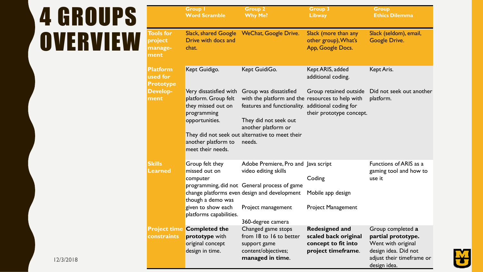## 4 GROUPS **OVERVIEW**

|                                                 | <b>Group I</b><br><b>Word Scramble</b>                                                                                                            | <b>Group 2</b><br><b>Why Me?</b>                                                                                                                                                                                                             | <b>Group 3</b><br><b>Libway</b>                                                            | <b>Group</b><br><b>Ethics Dilemma</b>                                                                                              |
|-------------------------------------------------|---------------------------------------------------------------------------------------------------------------------------------------------------|----------------------------------------------------------------------------------------------------------------------------------------------------------------------------------------------------------------------------------------------|--------------------------------------------------------------------------------------------|------------------------------------------------------------------------------------------------------------------------------------|
| <b>Tools for</b><br>project<br>manage-<br>ment  | <b>Slack, shared Google</b><br>Drive with docs and<br>chat.                                                                                       | <b>WeChat, Google Drive.</b>                                                                                                                                                                                                                 | Slack (more than any<br>other group), What's<br>App, Google Docs.                          | Slack (seldom), email,<br>Google Drive.                                                                                            |
| <b>Platform</b><br>used for<br><b>Prototype</b> | Kept Guidigo.                                                                                                                                     | Kept GuidiGo.                                                                                                                                                                                                                                | Kept ARIS, added<br>additional coding.                                                     | Kept Aris.                                                                                                                         |
| <b>Develop-</b><br>ment                         | Very dissatisfied with<br>platform. Group felt<br>they missed out on<br>programming<br>opportunities.<br>another platform to<br>meet their needs. | Group was dissatisfied<br>with the platform and the resources to help with<br>features and functionality. additional coding for<br>They did not seek out<br>another platform or<br>They did not seek out alternative to meet their<br>needs. | Group retained outside<br>their prototype concept.                                         | Did not seek out another<br>platform.                                                                                              |
| <b>Skills</b><br><b>Learned</b>                 | Group felt they<br>missed out on<br>computer<br>though a demo was<br>given to show each<br>platforms capabilities.                                | Adobe Premiere, Pro and Java script<br>video editing skills<br>programming, did not General process of game<br>change platforms even design and development<br>Project management<br>360-degree camera                                       | Coding<br>Mobile app design<br><b>Project Management</b>                                   | Functions of ARIS as a<br>gaming tool and how to<br>use it                                                                         |
| constraints                                     | <b>Project time Completed the</b><br>prototype with<br>original concept<br>design in time.                                                        | Changed game stops<br>from 18 to 16 to better<br>support game<br>content/objectives;<br>managed in time.                                                                                                                                     | <b>Redesigned and</b><br>scaled back original<br>concept to fit into<br>project timeframe. | Group completed a<br>partial prototype.<br>Went with original<br>design idea. Did not<br>adjust their timeframe or<br>design idea. |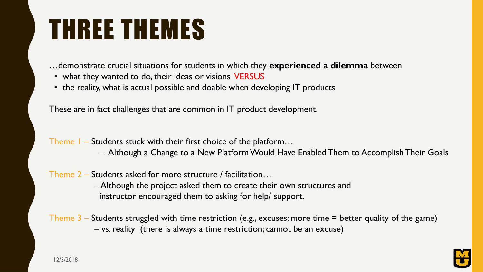## THREE THEMES

…demonstrate crucial situations for students in which they **experienced a dilemma** between

- what they wanted to do, their ideas or visions VERSUS
- the reality, what is actual possible and doable when developing IT products

These are in fact challenges that are common in IT product development.

- Theme 1 Students stuck with their first choice of the platform…
	- Although a Change to a New Platform Would Have Enabled Them to Accomplish Their Goals
- Theme 2 Students asked for more structure / facilitation…

– Although the project asked them to create their own structures and instructor encouraged them to asking for help/ support.

Theme  $3$  – Students struggled with time restriction (e.g., excuses: more time  $=$  better quality of the game) – vs. reality (there is always a time restriction; cannot be an excuse)

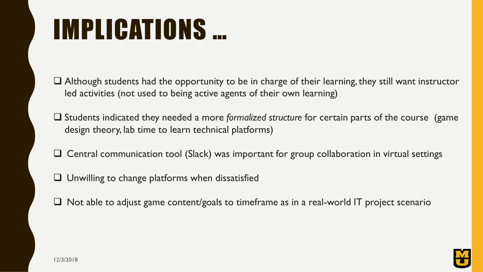## IMPLICATIONS …

 Although students had the opportunity to be in charge of their learning, they still want instructor led activities (not used to being active agents of their own learning)

- Students indicated they needed a more *formalized structure* for certain parts of the course (game design theory, lab time to learn technical platforms)
- $\Box$  Central communication tool (Slack) was important for group collaboration in virtual settings
- $\Box$  Unwilling to change platforms when dissatisfied
- $\Box$  Not able to adjust game content/goals to timeframe as in a real-world IT project scenario

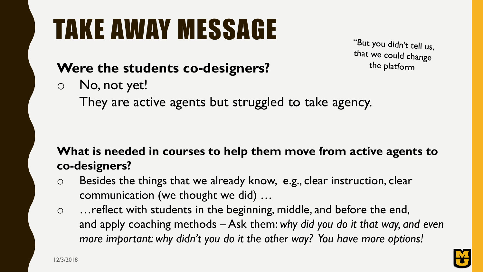# TAKE AWAY MESSAGE

"But you didn't tell us, that we could change the platform

#### **Were the students co-designers?**

- o No, not yet!
	- They are active agents but struggled to take agency.

#### **What is needed in courses to help them move from active agents to co-designers?**

- o Besides the things that we already know, e.g., clear instruction, clear communication (we thought we did) …
- o …reflect with students in the beginning, middle, and before the end, and apply coaching methods – Ask them: *why did you do it that way, and even more important: why didn't you do it the other way? You have more options!*